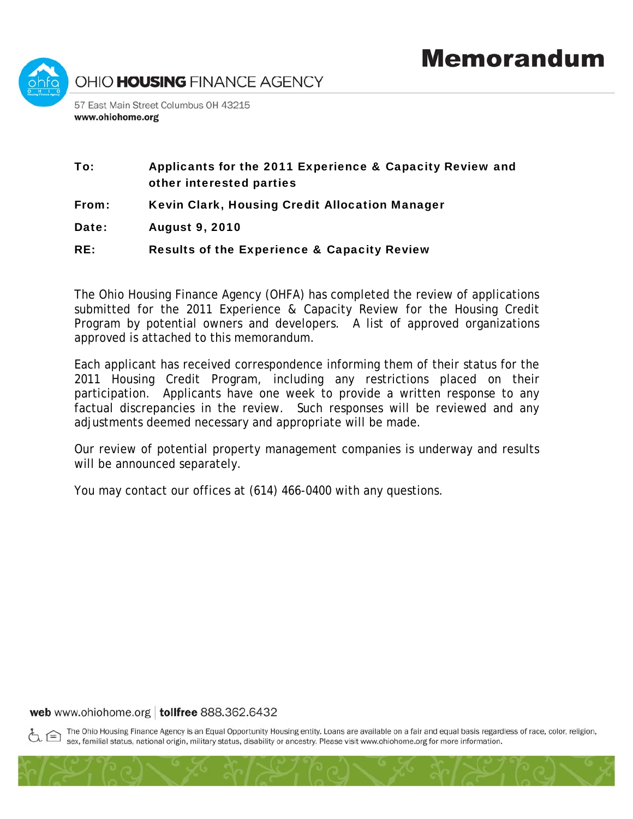

# To: Applicants for the 2011 Experience & Capacity Review and other interested parties

- From: Kevin Clark, Housing Credit Allocation Manager
- Date: August 9, 2010

## RE: Results of the Experience & Capacity Review

The Ohio Housing Finance Agency (OHFA) has completed the review of applications submitted for the 2011 Experience & Capacity Review for the Housing Credit Program by potential owners and developers. A list of approved organizations approved is attached to this memorandum.

Each applicant has received correspondence informing them of their status for the 2011 Housing Credit Program, including any restrictions placed on their participation. Applicants have one week to provide a written response to any factual discrepancies in the review. Such responses will be reviewed and any adjustments deemed necessary and appropriate will be made.

Our review of potential property management companies is underway and results will be announced separately.

You may contact our offices at (614) 466-0400 with any questions.

### web www.ohiohome.org | tollfree 888.362.6432

The Ohio Housing Finance Agency is an Equal Opportunity Housing entity. Loans are available on a fair and equal basis regardless of race, color, religion, sex, familial status, national origin, military status, disability or ancestry. Please visit www.ohiohome.org for more information.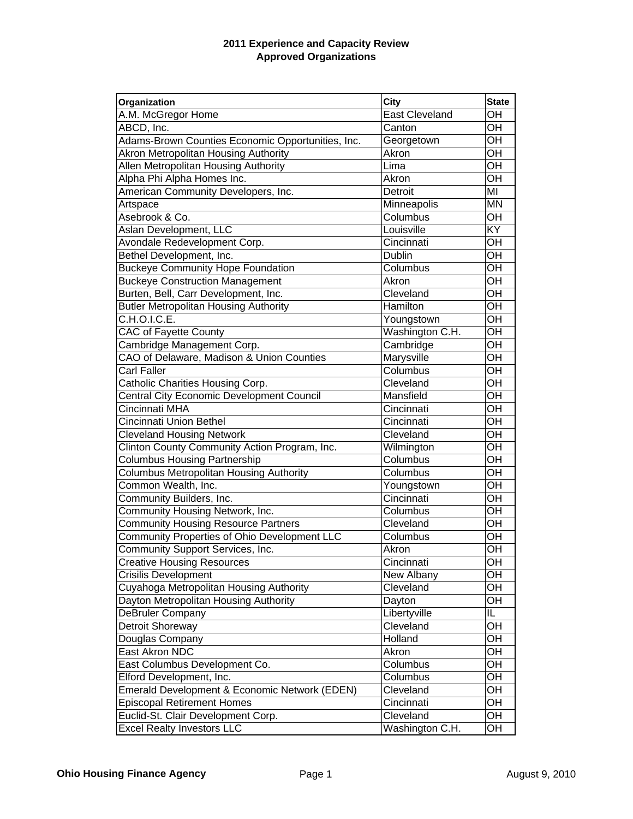#### **2011 Experience and Capacity Review Approved Organizations**

| Organization                                      | <b>City</b>     | <b>State</b>    |
|---------------------------------------------------|-----------------|-----------------|
| A.M. McGregor Home                                | East Cleveland  | OH              |
| ABCD, Inc.                                        | Canton          | $\overline{OH}$ |
| Adams-Brown Counties Economic Opportunities, Inc. | Georgetown      | OH              |
| Akron Metropolitan Housing Authority              | Akron           | OH              |
| Allen Metropolitan Housing Authority              | Lima            | OH              |
| Alpha Phi Alpha Homes Inc.                        | Akron           | OH              |
| American Community Developers, Inc.               | Detroit         | MI              |
| Artspace                                          | Minneapolis     | <b>MN</b>       |
| Asebrook & Co.                                    | Columbus        | OH              |
| Aslan Development, LLC                            | Louisville      | KY              |
| Avondale Redevelopment Corp.                      | Cincinnati      | OH              |
| Bethel Development, Inc.                          | Dublin          | OH              |
| <b>Buckeye Community Hope Foundation</b>          | Columbus        | OH              |
| <b>Buckeye Construction Management</b>            | Akron           | OH              |
| Burten, Bell, Carr Development, Inc.              | Cleveland       | OH              |
| <b>Butler Metropolitan Housing Authority</b>      | Hamilton        | OH              |
| C.H.O.I.C.E.                                      | Youngstown      | OH              |
| CAC of Fayette County                             | Washington C.H. | OH              |
| Cambridge Management Corp.                        | Cambridge       | OH              |
| CAO of Delaware, Madison & Union Counties         | Marysville      | OH              |
| Carl Faller                                       | Columbus        | OH              |
| Catholic Charities Housing Corp.                  | Cleveland       | OH              |
| <b>Central City Economic Development Council</b>  | Mansfield       | OH              |
| Cincinnati MHA                                    | Cincinnati      | OH              |
| Cincinnati Union Bethel                           | Cincinnati      | OH              |
| <b>Cleveland Housing Network</b>                  | Cleveland       | OH              |
| Clinton County Community Action Program, Inc.     | Wilmington      | OH              |
| <b>Columbus Housing Partnership</b>               | Columbus        | OH              |
| <b>Columbus Metropolitan Housing Authority</b>    | Columbus        | OH              |
| Common Wealth, Inc.                               | Youngstown      | OH              |
| Community Builders, Inc.                          | Cincinnati      | OH              |
| Community Housing Network, Inc.                   | Columbus        | OH              |
| <b>Community Housing Resource Partners</b>        | Cleveland       | OH              |
| Community Properties of Ohio Development LLC      | Columbus        | OH              |
| Community Support Services, Inc.                  | Akron           | OH              |
| <b>Creative Housing Resources</b>                 | Cincinnati      | OH              |
| Crisilis Development                              | New Albany      | OH              |
| Cuyahoga Metropolitan Housing Authority           | Cleveland       | OH              |
| Dayton Metropolitan Housing Authority             | Dayton          | OH              |
| DeBruler Company                                  | Libertyville    | IL              |
| Detroit Shoreway                                  | Cleveland       | OH              |
| Douglas Company                                   | Holland         | OH              |
| East Akron NDC                                    | Akron           | OH              |
| East Columbus Development Co.                     | Columbus        | OH              |
| Elford Development, Inc.                          | Columbus        | OH              |
| Emerald Development & Economic Network (EDEN)     | Cleveland       | OH              |
| <b>Episcopal Retirement Homes</b>                 | Cincinnati      | OH              |
| Euclid-St. Clair Development Corp.                | Cleveland       | OH              |
| <b>Excel Realty Investors LLC</b>                 | Washington C.H. | OH              |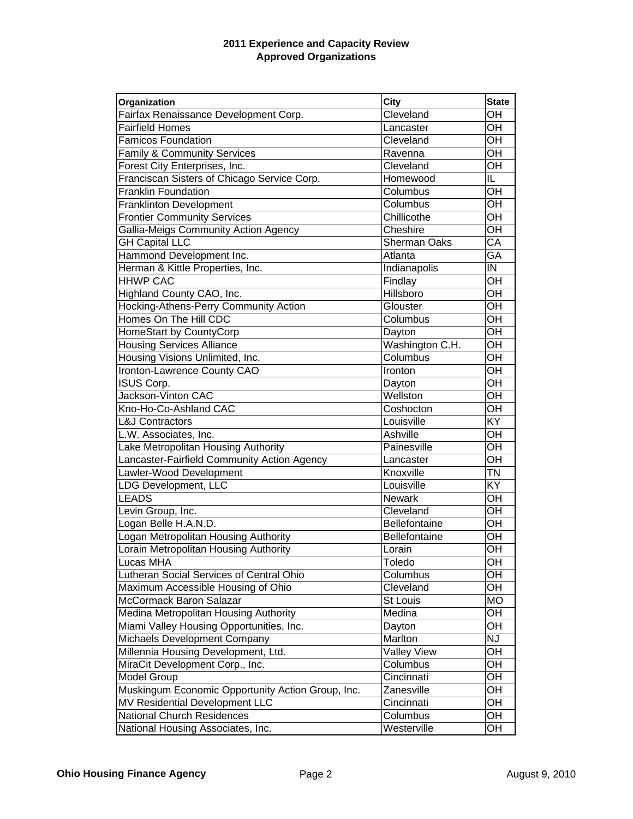#### **2011 Experience and Capacity Review Approved Organizations**

| Organization                                      | <b>City</b>         | <b>State</b> |
|---------------------------------------------------|---------------------|--------------|
| Fairfax Renaissance Development Corp.             | Cleveland           | OH           |
| <b>Fairfield Homes</b>                            | Lancaster           | OH           |
| <b>Famicos Foundation</b>                         | Cleveland           | OH           |
| <b>Family &amp; Community Services</b>            | Ravenna             | OH           |
| Forest City Enterprises, Inc.                     | Cleveland           | OH           |
| Franciscan Sisters of Chicago Service Corp.       | Homewood            | IL           |
| <b>Franklin Foundation</b>                        | Columbus            | OH           |
| <b>Franklinton Development</b>                    | Columbus            | OH           |
| <b>Frontier Community Services</b>                | Chillicothe         | OH           |
| Gallia-Meigs Community Action Agency              | Cheshire            | OH           |
| <b>GH Capital LLC</b>                             | <b>Sherman Oaks</b> | CA           |
| Hammond Development Inc.                          | Atlanta             | GА           |
| Herman & Kittle Properties, Inc.                  | Indianapolis        | IN           |
| <b>HHWP CAC</b>                                   | Findlay             | OH           |
| Highland County CAO, Inc.                         | Hillsboro           | OH           |
| Hocking-Athens-Perry Community Action             | Glouster            | OH           |
| Homes On The Hill CDC                             | Columbus            | OH           |
| HomeStart by CountyCorp                           | Dayton              | OH           |
| <b>Housing Services Alliance</b>                  | Washington C.H.     | OH           |
| Housing Visions Unlimited, Inc.                   | Columbus            | OH           |
| Ironton-Lawrence County CAO                       | Ironton             | OH           |
| ISUS Corp.                                        | Dayton              | OH           |
| Jackson-Vinton CAC                                | Wellston            | OH           |
| Kno-Ho-Co-Ashland CAC                             | Coshocton           | OH           |
| <b>L&amp;J Contractors</b>                        | Louisville          | KY           |
| L.W. Associates, Inc.                             | Ashville            | OН           |
| Lake Metropolitan Housing Authority               | Painesville         | OH           |
| Lancaster-Fairfield Community Action Agency       | Lancaster           | OН           |
| Lawler-Wood Development                           | Knoxville           | <b>TN</b>    |
| <b>LDG Development, LLC</b>                       | Louisville          | KY           |
| <b>LEADS</b>                                      | <b>Newark</b>       | OH           |
| Levin Group, Inc.                                 | Cleveland           | OH           |
| Logan Belle H.A.N.D.                              | Bellefontaine       | OH           |
| Logan Metropolitan Housing Authority              | Bellefontaine       | OH           |
| Lorain Metropolitan Housing Authority             | Lorain              | OH           |
| Lucas MHA                                         | Toledo              | OH           |
| Lutheran Social Services of Central Ohio          | Columbus            | OH           |
| Maximum Accessible Housing of Ohio                | Cleveland           | OH           |
| McCormack Baron Salazar                           | St Louis            | <b>MO</b>    |
| Medina Metropolitan Housing Authority             | Medina              | OH           |
| Miami Valley Housing Opportunities, Inc.          | Dayton              | OH           |
| Michaels Development Company                      | Marlton             | NJ           |
| Millennia Housing Development, Ltd.               | <b>Valley View</b>  | OH           |
| MiraCit Development Corp., Inc.                   | Columbus            | OH           |
| <b>Model Group</b>                                | Cincinnati          | OH           |
| Muskingum Economic Opportunity Action Group, Inc. | Zanesville          | OH           |
| MV Residential Development LLC                    | Cincinnati          | OH           |
| <b>National Church Residences</b>                 | Columbus            | OH           |
| National Housing Associates, Inc.                 | Westerville         | OH           |